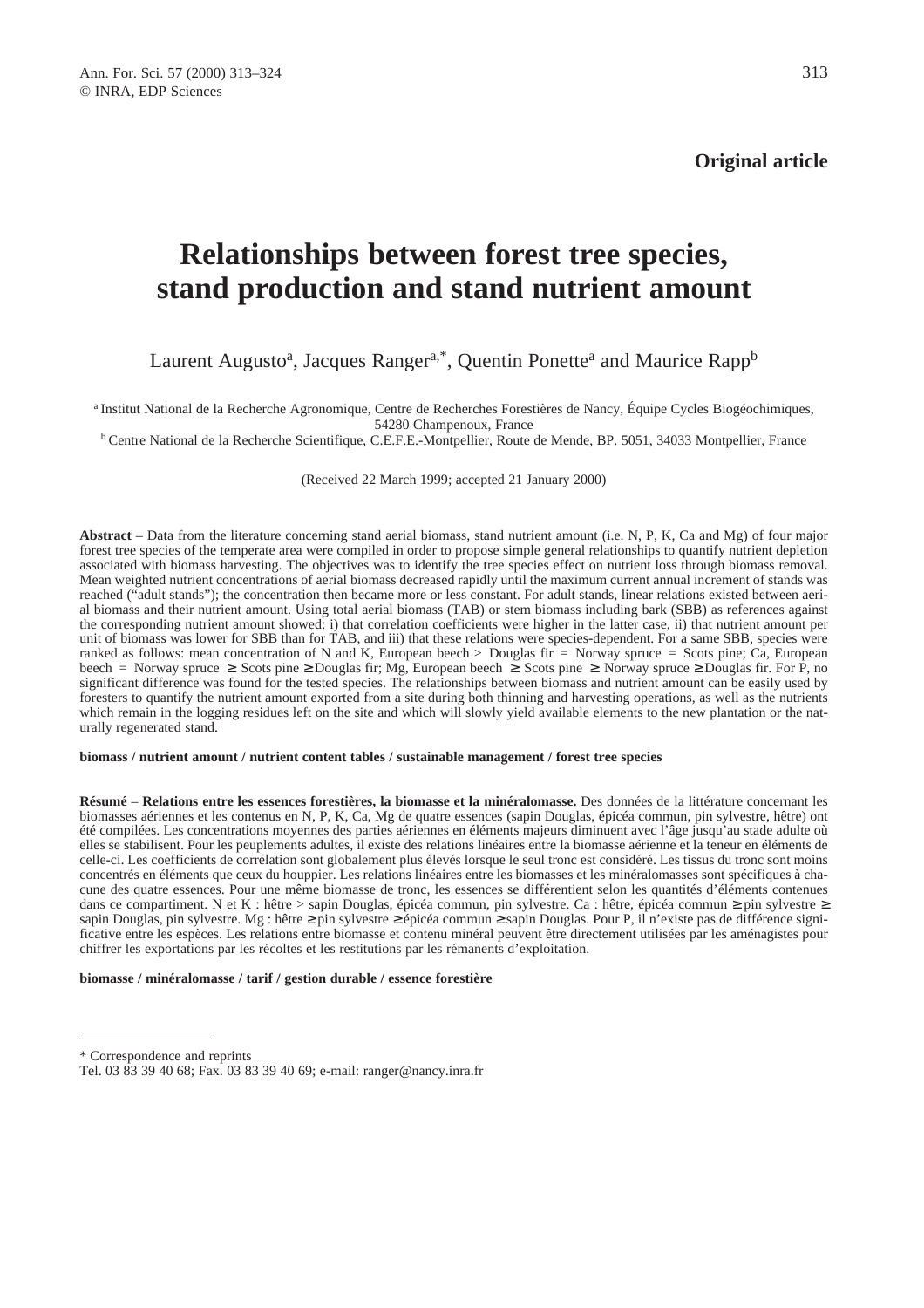# **Relationships between forest tree species, stand production and stand nutrient amount**

# Laurent Augusto<sup>a</sup>, Jacques Ranger<sup>a,\*</sup>, Quentin Ponette<sup>a</sup> and Maurice Rapp<sup>b</sup>

a Institut National de la Recherche Agronomique, Centre de Recherches Forestières de Nancy, Équipe Cycles Biogéochimiques, 54280 Champenoux, France

b Centre National de la Recherche Scientifique, C.E.F.E.-Montpellier, Route de Mende, BP. 5051, 34033 Montpellier, France

(Received 22 March 1999; accepted 21 January 2000)

**Abstract** – Data from the literature concerning stand aerial biomass, stand nutrient amount (i.e. N, P, K, Ca and Mg) of four major forest tree species of the temperate area were compiled in order to propose simple general relationships to quantify nutrient depletion associated with biomass harvesting. The objectives was to identify the tree species effect on nutrient loss through biomass removal. Mean weighted nutrient concentrations of aerial biomass decreased rapidly until the maximum current annual increment of stands was reached ("adult stands"); the concentration then became more or less constant. For adult stands, linear relations existed between aerial biomass and their nutrient amount. Using total aerial biomass (TAB) or stem biomass including bark (SBB) as references against the corresponding nutrient amount showed: i) that correlation coefficients were higher in the latter case, ii) that nutrient amount per unit of biomass was lower for SBB than for TAB, and iii) that these relations were species-dependent. For a same SBB, species were ranked as follows: mean concentration of N and K, European beech  $>$  Douglas fir = Norway spruce = Scots pine; Ca, European beech = Norway spruce  $\geq$  Scots pine  $\geq$  Douglas fir; Mg, European beech  $\geq$  Scots pine  $\geq$  Norway spruce  $\geq$  Douglas fir. For P, no significant difference was found for the tested species. The relationships between biomass and nutrient amount can be easily used by foresters to quantify the nutrient amount exported from a site during both thinning and harvesting operations, as well as the nutrients which remain in the logging residues left on the site and which will slowly yield available elements to the new plantation or the naturally regenerated stand.

#### **biomass / nutrient amount / nutrient content tables / sustainable management / forest tree species**

**Résumé** – **Relations entre les essences forestières, la biomasse et la minéralomasse.** Des données de la littérature concernant les biomasses aériennes et les contenus en N, P, K, Ca, Mg de quatre essences (sapin Douglas, épicéa commun, pin sylvestre, hêtre) ont été compilées. Les concentrations moyennes des parties aériennes en éléments majeurs diminuent avec l'âge jusqu'au stade adulte où elles se stabilisent. Pour les peuplements adultes, il existe des relations linéaires entre la biomasse aérienne et la teneur en éléments de celle-ci. Les coefficients de corrélation sont globalement plus élevés lorsque le seul tronc est considéré. Les tissus du tronc sont moins concentrés en éléments que ceux du houppier. Les relations linéaires entre les biomasses et les minéralomasses sont spécifiques à chacune des quatre essences. Pour une même biomasse de tronc, les essences se différentient selon les quantités d'éléments contenues dans ce compartiment. N et K : hêtre > sapin Douglas, épicéa commun, pin sylvestre. Ca : hêtre, épicéa commun ≥ pin sylvestre ≥ sapin Douglas, pin sylvestre. Mg : hêtre ≥ pin sylvestre ≥ épicéa commun ≥ sapin Douglas. Pour P, il n'existe pas de différence significative entre les espèces. Les relations entre biomasse et contenu minéral peuvent être directement utilisées par les aménagistes pour chiffrer les exportations par les récoltes et les restitutions par les rémanents d'exploitation.

**biomasse / minéralomasse / tarif / gestion durable / essence forestière**

<sup>\*</sup> Correspondence and reprints

Tel. 03 83 39 40 68; Fax. 03 83 39 40 69; e-mail: ranger@nancy.inra.fr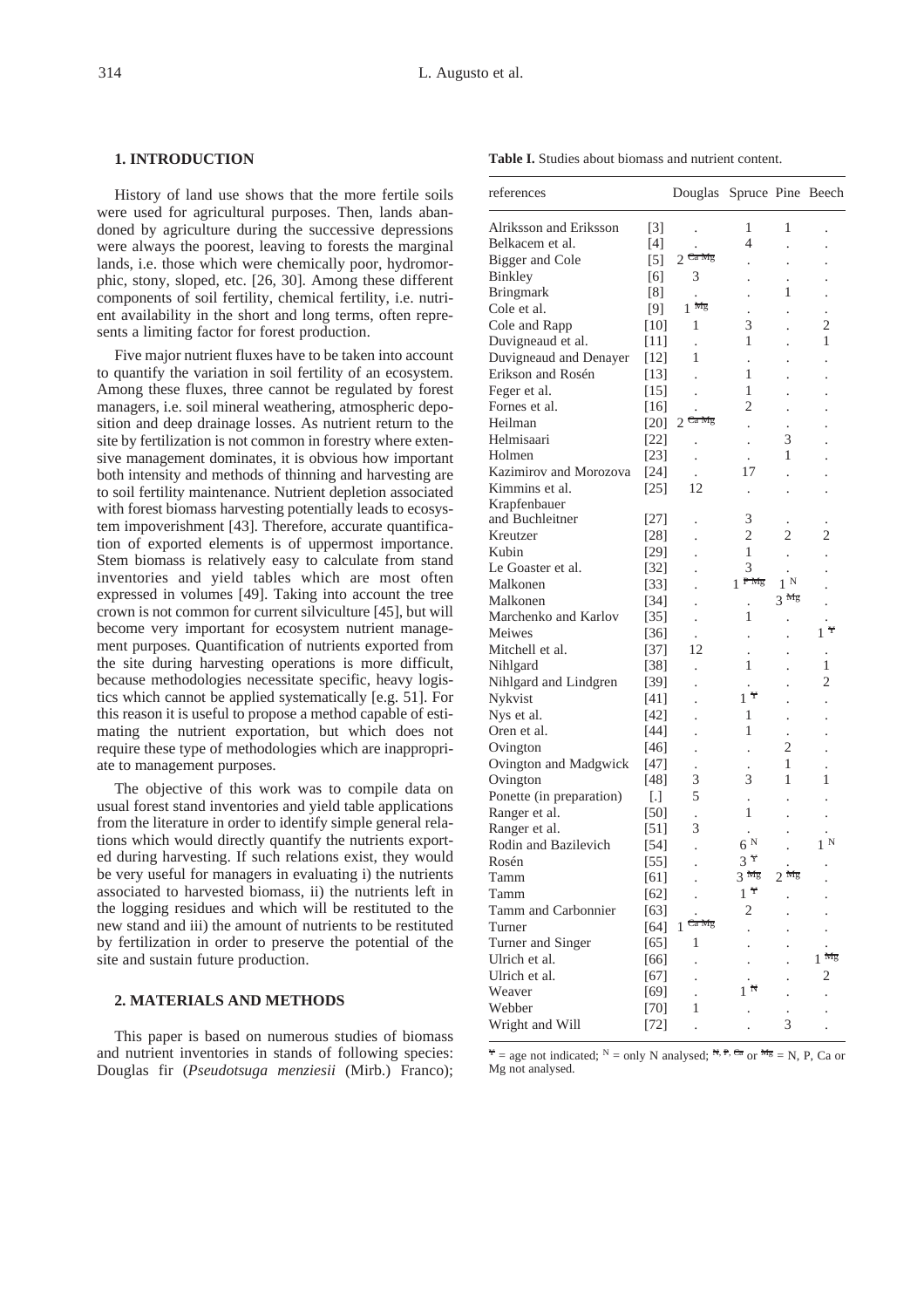#### **1. INTRODUCTION**

History of land use shows that the more fertile soils were used for agricultural purposes. Then, lands abandoned by agriculture during the successive depressions were always the poorest, leaving to forests the marginal lands, i.e. those which were chemically poor, hydromorphic, stony, sloped, etc. [26, 30]. Among these different components of soil fertility, chemical fertility, i.e. nutrient availability in the short and long terms, often represents a limiting factor for forest production.

Five major nutrient fluxes have to be taken into account to quantify the variation in soil fertility of an ecosystem. Among these fluxes, three cannot be regulated by forest managers, i.e. soil mineral weathering, atmospheric deposition and deep drainage losses. As nutrient return to the site by fertilization is not common in forestry where extensive management dominates, it is obvious how important both intensity and methods of thinning and harvesting are to soil fertility maintenance. Nutrient depletion associated with forest biomass harvesting potentially leads to ecosystem impoverishment [43]. Therefore, accurate quantification of exported elements is of uppermost importance. Stem biomass is relatively easy to calculate from stand inventories and yield tables which are most often expressed in volumes [49]. Taking into account the tree crown is not common for current silviculture [45], but will become very important for ecosystem nutrient management purposes. Quantification of nutrients exported from the site during harvesting operations is more difficult, because methodologies necessitate specific, heavy logistics which cannot be applied systematically [e.g. 51]. For this reason it is useful to propose a method capable of estimating the nutrient exportation, but which does not require these type of methodologies which are inappropriate to management purposes.

The objective of this work was to compile data on usual forest stand inventories and yield table applications from the literature in order to identify simple general relations which would directly quantify the nutrients exported during harvesting. If such relations exist, they would be very useful for managers in evaluating i) the nutrients associated to harvested biomass, ii) the nutrients left in the logging residues and which will be restituted to the new stand and iii) the amount of nutrients to be restituted by fertilization in order to preserve the potential of the site and sustain future production.

#### **2. MATERIALS AND METHODS**

This paper is based on numerous studies of biomass and nutrient inventories in stands of following species: Douglas fir (*Pseudotsuga menziesii* (Mirb.) Franco); **Table I.** Studies about biomass and nutrient content.

| references               |                   | Douglas Spruce Pine Beech |                   |                      |                  |
|--------------------------|-------------------|---------------------------|-------------------|----------------------|------------------|
| Alriksson and Eriksson   | [3]               |                           | 1                 | 1                    |                  |
| Belkacem et al.          | 14                |                           | 4                 | $\ddot{\phantom{0}}$ |                  |
| Bigger and Cole          | [5]               | $2$ Ca Mg                 |                   |                      |                  |
| <b>Binkley</b>           | [6]               | 3                         |                   |                      |                  |
| <b>Bringmark</b>         | [8]               |                           |                   | 1                    |                  |
| Cole et al.              | [9]               | $1 \frac{Mg}{L}$          |                   |                      |                  |
| Cole and Rapp            | [10]              | 1                         | 3                 |                      | 2                |
| Duvigneaud et al.        | $[11]$            |                           | 1                 |                      | 1                |
| Duvigneaud and Denayer   | [12]              | 1                         |                   |                      |                  |
| Erikson and Rosén        | [13]              |                           | 1                 |                      |                  |
| Feger et al.             | $[15]$            |                           | 1                 |                      |                  |
| Fornes et al.            | $[16]$            |                           | $\overline{c}$    |                      |                  |
| Heilman                  | $[20]$            | $2$ Ca Mg                 |                   |                      |                  |
| Helmisaari               | $[22]$            |                           |                   | 3                    |                  |
| Holmen                   | $[23]$            |                           |                   | 1                    |                  |
| Kazimirov and Morozova   | $[24]$            |                           | 17                |                      |                  |
| Kimmins et al.           | $[25]$            | 12                        |                   |                      |                  |
| Krapfenbauer             |                   |                           |                   |                      |                  |
| and Buchleitner          | [27]              |                           | 3                 |                      |                  |
| Kreutzer                 | $[28]$            |                           | 2                 | 2                    | 2                |
| Kubin                    | $[29]$            |                           | 1                 |                      |                  |
| Le Goaster et al.        | $[32]$            |                           | 3                 |                      |                  |
| Malkonen                 | $\left[33\right]$ |                           | $1^{Pmg}$         | $1^{\rm N}$          |                  |
| Malkonen                 | [34]              |                           |                   | $3 \frac{mg}{g}$     |                  |
| Marchenko and Karlov     | $[35]$            | $\ddot{\phantom{0}}$      | 1                 |                      |                  |
| Meiwes                   | $[36]$            |                           |                   |                      | $1^{\tau}$       |
| Mitchell et al.          | $[37]$            | 12                        |                   |                      |                  |
| Nihlgard                 | [38]              |                           | 1                 |                      | 1                |
| Nihlgard and Lindgren    | $[39]$            |                           |                   |                      | 2                |
| Nykvist                  | $[41]$            |                           | $1^{\frac{1}{1}}$ |                      |                  |
| Nys et al.               | [42]              |                           | 1                 |                      |                  |
| Oren et al.              | [44]              |                           | 1                 |                      |                  |
| Ovington                 | [46]              |                           |                   | 2                    |                  |
| Ovington and Madgwick    | [47]              | $\ddot{\phantom{0}}$      |                   | 1                    |                  |
| Ovington                 | [48]              | 3                         | 3                 | 1                    | 1                |
| Ponette (in preparation) | $\lceil . \rceil$ | 5                         |                   |                      |                  |
| Ranger et al.            | [50]              |                           | 1                 |                      |                  |
| Ranger et al.            | [51]              | $\ddot{\phantom{0}}$<br>3 |                   |                      |                  |
| Rodin and Bazilevich     | $[54]$            |                           | 6 <sup>N</sup>    |                      | $1^{\mathrm{N}}$ |
| Rosén                    | $[55]$            | l.                        | $3\overline{7}$   |                      |                  |
|                          |                   |                           | 3 <sub>mg</sub>   | 2 <sub>mg</sub>      |                  |
| Tamm                     | [61]              |                           | $1^{\frac{1}{1}}$ |                      |                  |
| Tamm                     | $[62]$            |                           |                   |                      |                  |
| Tamm and Carbonnier      | $[63]$            | $1$ Ca Mg                 | 2                 |                      |                  |
| Turner                   | [64]              |                           |                   |                      |                  |
| Turner and Singer        | [65]              | 1                         |                   |                      | $1 \frac{Mg}{L}$ |
| Ulrich et al.            | [66]              |                           |                   |                      |                  |
| Ulrich et al.            | $[67]$            |                           | N                 |                      | 2                |
| Weaver                   | $[69]$            |                           |                   |                      |                  |
| Webber                   | [70]              | 1                         |                   |                      |                  |
| Wright and Will          | $[72]$            |                           |                   | 3                    |                  |

 $\mathbf{Y} =$  age not indicated;  $N =$  only N analysed;  $\mathbf{N}$ ,  $\mathbf{P}$ ,  $\mathbf{C}$ a or  $\mathbf{Mg} =$  N, P, Ca or Mg not analysed.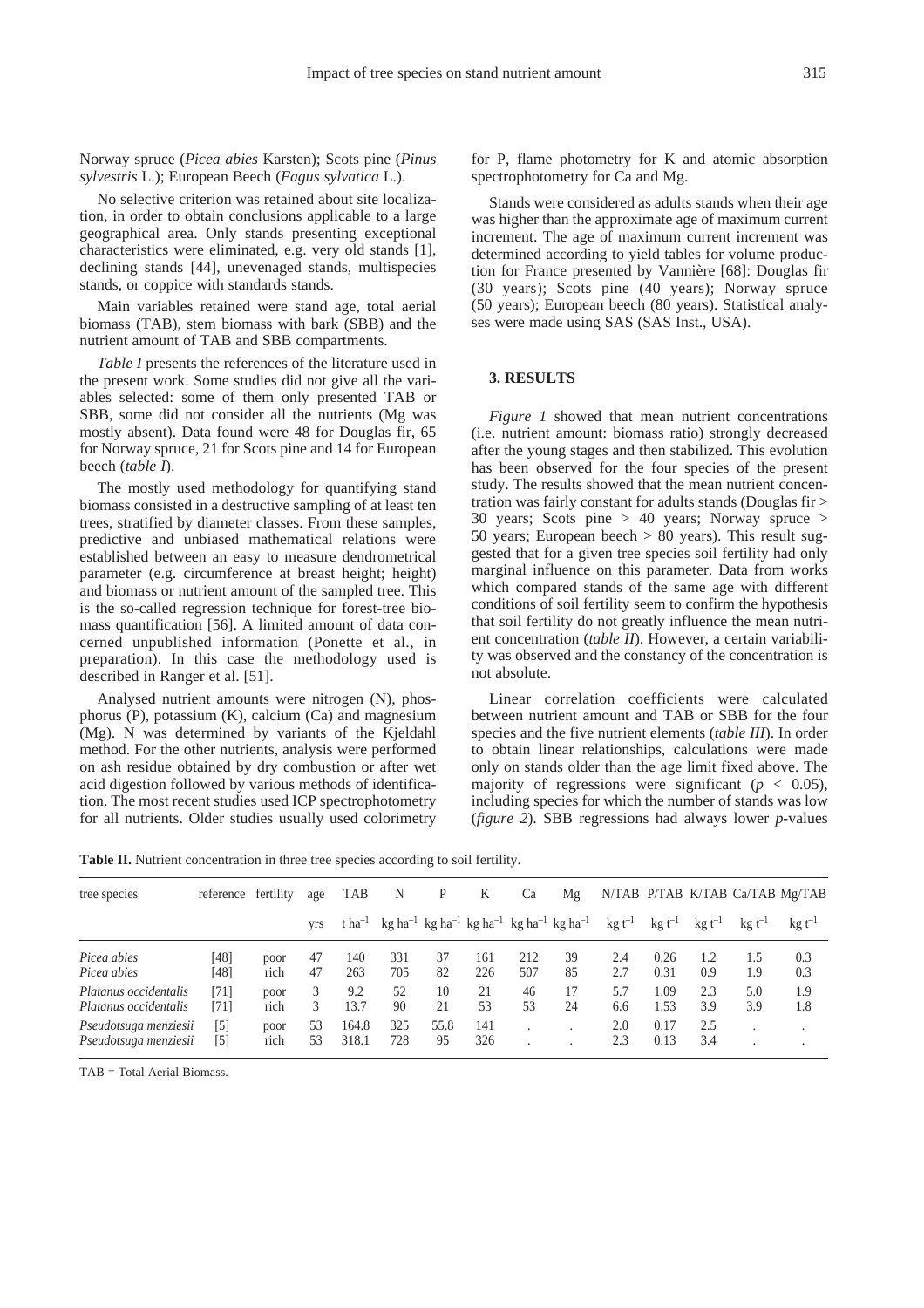Norway spruce (*Picea abies* Karsten); Scots pine (*Pinus sylvestris* L.); European Beech (*Fagus sylvatica* L.).

No selective criterion was retained about site localization, in order to obtain conclusions applicable to a large geographical area. Only stands presenting exceptional characteristics were eliminated, e.g. very old stands [1], declining stands [44], unevenaged stands, multispecies stands, or coppice with standards stands.

Main variables retained were stand age, total aerial biomass (TAB), stem biomass with bark (SBB) and the nutrient amount of TAB and SBB compartments.

*Table I* presents the references of the literature used in the present work. Some studies did not give all the variables selected: some of them only presented TAB or SBB, some did not consider all the nutrients (Mg was mostly absent). Data found were 48 for Douglas fir, 65 for Norway spruce, 21 for Scots pine and 14 for European beech (*table I*).

The mostly used methodology for quantifying stand biomass consisted in a destructive sampling of at least ten trees, stratified by diameter classes. From these samples, predictive and unbiased mathematical relations were established between an easy to measure dendrometrical parameter (e.g. circumference at breast height; height) and biomass or nutrient amount of the sampled tree. This is the so-called regression technique for forest-tree biomass quantification [56]. A limited amount of data concerned unpublished information (Ponette et al., in preparation). In this case the methodology used is described in Ranger et al. [51].

Analysed nutrient amounts were nitrogen (N), phosphorus (P), potassium (K), calcium (Ca) and magnesium (Mg). N was determined by variants of the Kjeldahl method. For the other nutrients, analysis were performed on ash residue obtained by dry combustion or after wet acid digestion followed by various methods of identification. The most recent studies used ICP spectrophotometry for all nutrients. Older studies usually used colorimetry for P, flame photometry for K and atomic absorption spectrophotometry for Ca and Mg.

Stands were considered as adults stands when their age was higher than the approximate age of maximum current increment. The age of maximum current increment was determined according to yield tables for volume production for France presented by Vannière [68]: Douglas fir (30 years); Scots pine (40 years); Norway spruce (50 years); European beech (80 years). Statistical analyses were made using SAS (SAS Inst., USA).

#### **3. RESULTS**

*Figure 1* showed that mean nutrient concentrations (i.e. nutrient amount: biomass ratio) strongly decreased after the young stages and then stabilized. This evolution has been observed for the four species of the present study. The results showed that the mean nutrient concentration was fairly constant for adults stands (Douglas fir > 30 years; Scots pine > 40 years; Norway spruce > 50 years; European beech  $> 80$  years). This result suggested that for a given tree species soil fertility had only marginal influence on this parameter. Data from works which compared stands of the same age with different conditions of soil fertility seem to confirm the hypothesis that soil fertility do not greatly influence the mean nutrient concentration (*table II*). However, a certain variability was observed and the constancy of the concentration is not absolute.

Linear correlation coefficients were calculated between nutrient amount and TAB or SBB for the four species and the five nutrient elements (*table III*). In order to obtain linear relationships, calculations were made only on stands older than the age limit fixed above. The majority of regressions were significant ( $p < 0.05$ ), including species for which the number of stands was low (*figure 2*). SBB regressions had always lower *p*-values

**Table II.** Nutrient concentration in three tree species according to soil fertility.

| tree species                                   | reference fertility |              | age        | <b>TAB</b>         | N          | P          | K          | Ca         | Μg                                                                                                  |                    |                    |             |             | N/TAB P/TAB K/TAB Ca/TAB Mg/TAB |
|------------------------------------------------|---------------------|--------------|------------|--------------------|------------|------------|------------|------------|-----------------------------------------------------------------------------------------------------|--------------------|--------------------|-------------|-------------|---------------------------------|
|                                                |                     |              | <b>VIS</b> | t ha <sup>-1</sup> |            |            |            |            | kg ha <sup>-1</sup> kg ha <sup>-1</sup> kg ha <sup>-1</sup> kg ha <sup>-1</sup> kg ha <sup>-1</sup> | $\text{kg} t^{-1}$ | $\text{kg} t^{-1}$ | $kg t^{-1}$ | $kg t^{-1}$ | $kg t^{-1}$                     |
| Picea abies<br>Picea abies                     | [48]<br>[48]        | poor<br>rich | 47<br>47   | 140<br>263         | 331<br>705 | 37<br>82   | 161<br>226 | 212<br>507 | 39<br>85                                                                                            | 2.4<br>2.7         | 0.26<br>0.31       | 1.2<br>0.9  | 1.5<br>1.9  | 0.3<br>0.3                      |
| Platanus occidentalis<br>Platanus occidentalis | [71]<br>[71]        | poor<br>rich | 3          | 9.2<br>13.7        | 52<br>90   | 10<br>21   | 21<br>53   | 46<br>53   | 17<br>24                                                                                            | 5.7<br>6.6         | 1.09<br>1.53       | 2.3<br>3.9  | 5.0<br>3.9  | 1.9<br>1.8                      |
| Pseudotsuga menziesii<br>Pseudotsuga menziesii | [5]<br>$[5]$        | poor<br>rich | 53<br>53   | 164.8<br>318.1     | 325<br>728 | 55.8<br>95 | 141<br>326 |            |                                                                                                     | 2.0<br>2.3         | 0.17<br>0.13       | 2.5<br>3.4  |             |                                 |

TAB = Total Aerial Biomass.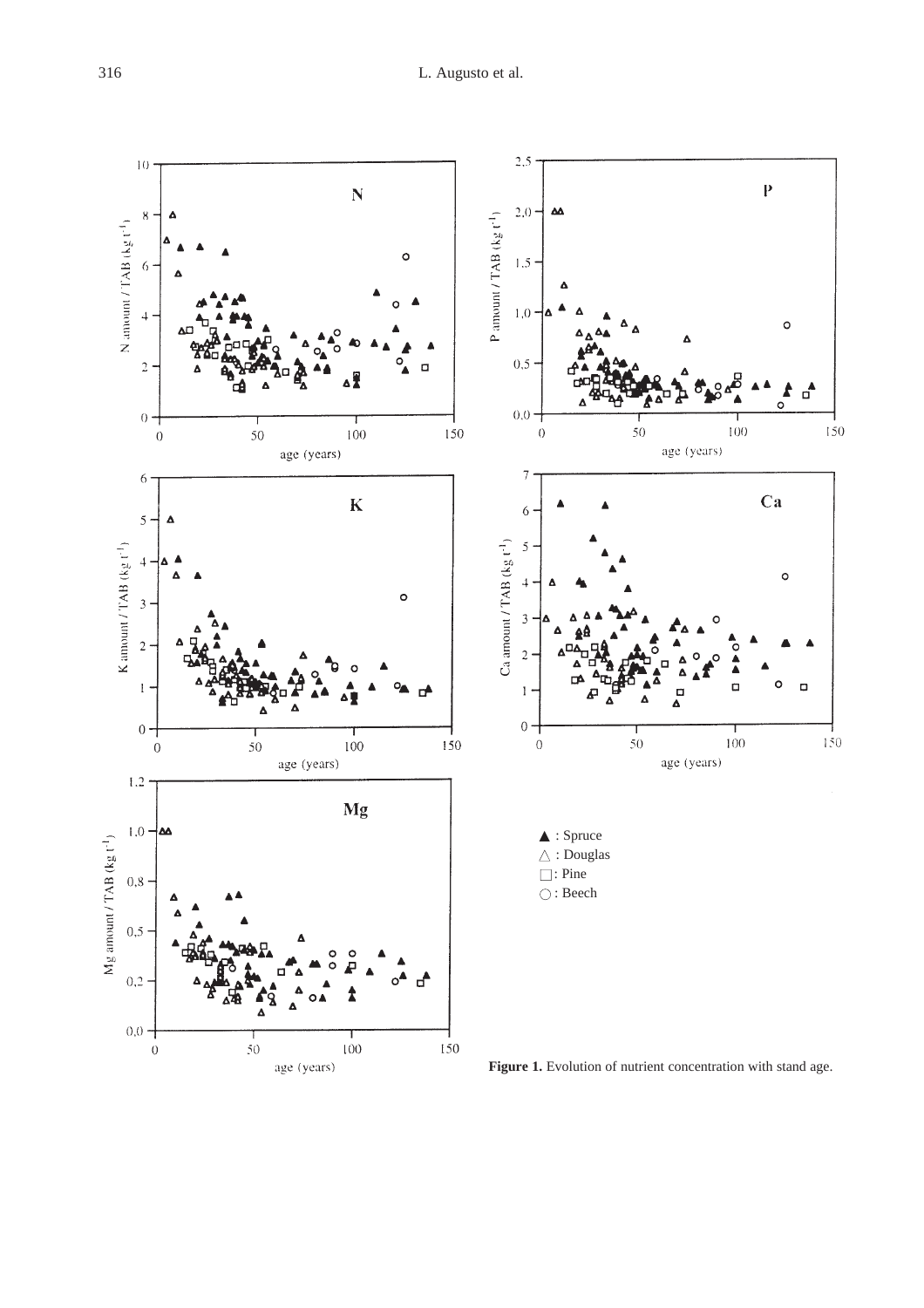

**Figure 1.** Evolution of nutrient concentration with stand age.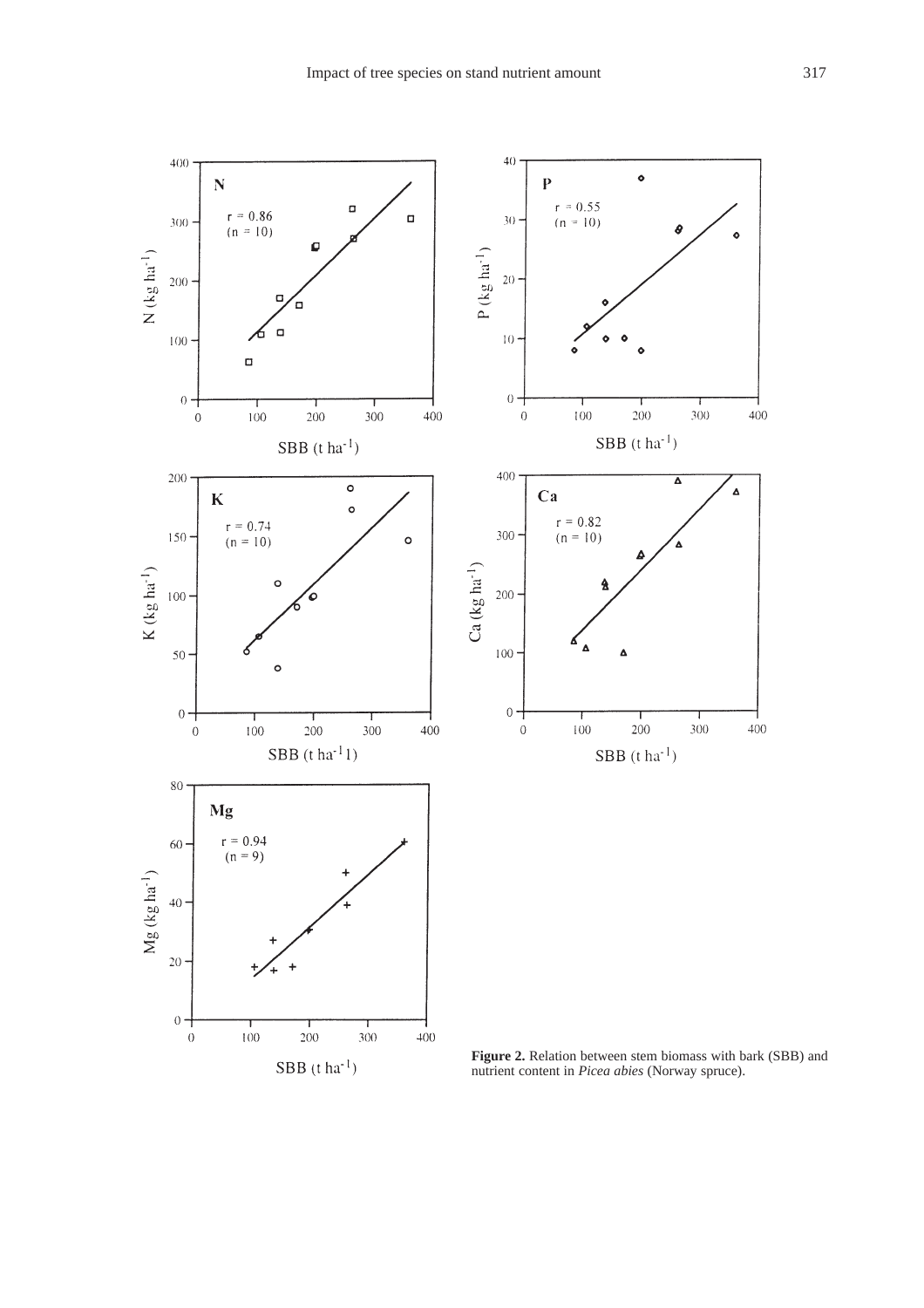

**Figure 2.** Relation between stem biomass with bark (SBB) and nutrient content in *Picea abies* (Norway spruce).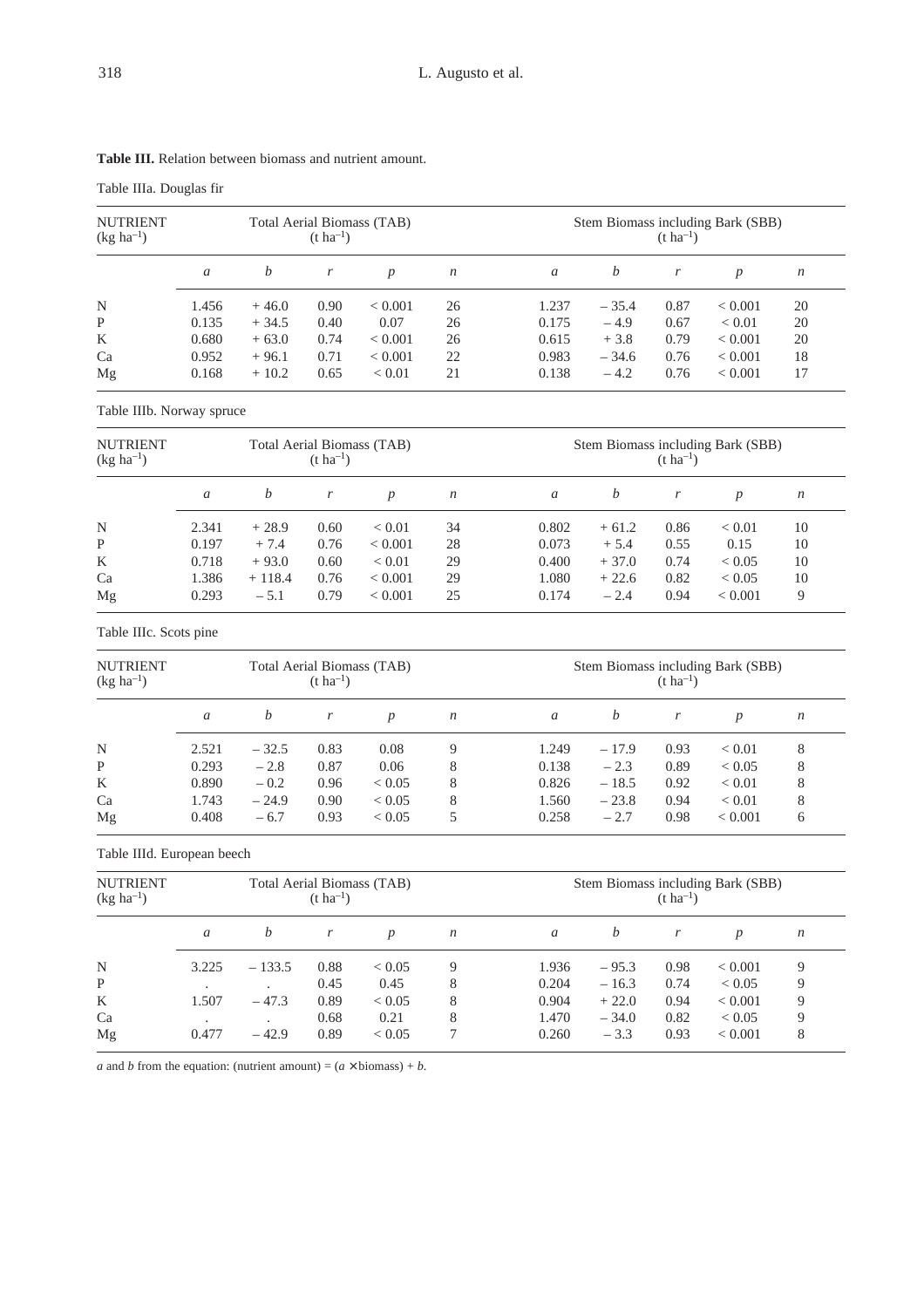|  |  | L:110 |
|--|--|-------|
|  |  |       |
|  |  |       |
|  |  |       |

| <b>Table III.</b> Relation between biomass and nutrient amount. |  |  |  |
|-----------------------------------------------------------------|--|--|--|
|                                                                 |  |  |  |

Table IIIa. Douglas fir

| <b>NUTRIENT</b><br>$(kg ha^{-1})$ |       |         | $(t \text{ ha}^{-1})$ | Total Aerial Biomass (TAB) |                  | Stem Biomass including Bark (SBB)<br>$(t \text{ ha}^{-1})$ |         |      |                  |    |  |
|-----------------------------------|-------|---------|-----------------------|----------------------------|------------------|------------------------------------------------------------|---------|------|------------------|----|--|
|                                   | a     | b       |                       | $\boldsymbol{D}$           | $\boldsymbol{n}$ | a                                                          | b       |      | $\boldsymbol{p}$ | n  |  |
| N                                 | 1.456 | $+46.0$ | 0.90                  | < 0.001                    | 26               | 1.237                                                      | $-35.4$ | 0.87 | ${}_{< 0.001}$   | 20 |  |
| P                                 | 0.135 | $+34.5$ | 0.40                  | 0.07                       | 26               | 0.175                                                      | $-4.9$  | 0.67 | ${}_{< 0.01}$    | 20 |  |
| K                                 | 0.680 | $+63.0$ | 0.74                  | < 0.001                    | 26               | 0.615                                                      | $+3.8$  | 0.79 | ${}_{< 0.001}$   | 20 |  |
| Ca                                | 0.952 | $+96.1$ | 0.71                  | < 0.001                    | 22               | 0.983                                                      | $-34.6$ | 0.76 | < 0.001          | 18 |  |
| Mg                                | 0.168 | $+10.2$ | 0.65                  | ${}< 0.01$                 | 21               | 0.138                                                      | $-4.2$  | 0.76 | ${}_{< 0.001}$   | 17 |  |

Table IIIb. Norway spruce

| <b>NUTRIENT</b><br>$(kg ha^{-1})$ |       |          | $(t \, ha^{-1})$ | Total Aerial Biomass (TAB) |                  | Stem Biomass including Bark (SBB)<br>$(t \, ha^{-1})$ |         |      |                |    |  |
|-----------------------------------|-------|----------|------------------|----------------------------|------------------|-------------------------------------------------------|---------|------|----------------|----|--|
|                                   | a     | b        |                  | $\boldsymbol{p}$           | $\boldsymbol{n}$ | a                                                     | b       |      | p              | n  |  |
| N                                 | 2.341 | $+28.9$  | 0.60             | ${}_{< 0.01}$              | 34               | 0.802                                                 | $+61.2$ | 0.86 | ${}< 0.01$     | 10 |  |
| P                                 | 0.197 | $+7.4$   | 0.76             | < 0.001                    | 28               | 0.073                                                 | $+5.4$  | 0.55 | 0.15           | 10 |  |
| K                                 | 0.718 | $+93.0$  | 0.60             | ${}< 0.01$                 | 29               | 0.400                                                 | $+37.0$ | 0.74 | ${}_{< 0.05}$  | 10 |  |
| Ca                                | 1.386 | $+118.4$ | 0.76             | ${}< 0.001$                | 29               | 1.080                                                 | $+22.6$ | 0.82 | ${}_{< 0.05}$  | 10 |  |
| Mg                                | 0.293 | $-5.1$   | 0.79             | ${}< 0.001$                | 25               | 0.174                                                 | $-2.4$  | 0.94 | ${}_{< 0.001}$ | 9  |  |

Table IIIc. Scots pine

| <b>NUTRIENT</b><br>$(kg ha^{-1})$ |       |         | $(t \text{ ha}^{-1})$ | Total Aerial Biomass (TAB) |                  | Stem Biomass including Bark (SBB)<br>$(t \text{ ha}^{-1})$ |         |      |               |                  |  |
|-----------------------------------|-------|---------|-----------------------|----------------------------|------------------|------------------------------------------------------------|---------|------|---------------|------------------|--|
|                                   | a     | b       |                       | $\boldsymbol{D}$           | $\boldsymbol{n}$ | a                                                          | b       |      | p             | $\boldsymbol{n}$ |  |
| N                                 | 2.521 | $-32.5$ | 0.83                  | 0.08                       | 9                | 1.249                                                      | $-17.9$ | 0.93 | ${}< 0.01$    | 8                |  |
| P                                 | 0.293 | $-2.8$  | 0.87                  | 0.06                       | 8                | 0.138                                                      | $-2.3$  | 0.89 | ${}_{< 0.05}$ | 8                |  |
| K                                 | 0.890 | $-0.2$  | 0.96                  | < 0.05                     | 8                | 0.826                                                      | $-18.5$ | 0.92 | ${}< 0.01$    | 8                |  |
| Ca                                | 1.743 | $-24.9$ | 0.90                  | < 0.05                     | 8                | 1.560                                                      | $-23.8$ | 0.94 | ${}< 0.01$    | 8                |  |
| Mg                                | 0.408 | $-6.7$  | 0.93                  | < 0.05                     |                  | 0.258                                                      | $-2.7$  | 0.98 | ${}< 0.001$   | 6                |  |

Table IIId. European beech

| <b>NUTRIENT</b><br>$(kg ha^{-1})$ |       |                | $(t \, ha^{-1})$ | Total Aerial Biomass (TAB) |                  |       | Stem Biomass including Bark (SBB)<br>$(t \text{ ha}^{-1})$ |      |                  |                  |  |  |
|-----------------------------------|-------|----------------|------------------|----------------------------|------------------|-------|------------------------------------------------------------|------|------------------|------------------|--|--|
|                                   | a     | b              | r                | $\boldsymbol{p}$           | $\boldsymbol{n}$ | a     | b                                                          | r    | $\boldsymbol{p}$ | $\boldsymbol{n}$ |  |  |
| N                                 | 3.225 | $-133.5$       | 0.88             | ${}< 0.05$                 | 9                | 1.936 | $-95.3$                                                    | 0.98 | ${}_{< 0.001}$   | 9                |  |  |
| P                                 |       | $\overline{a}$ | 0.45             | 0.45                       | 8                | 0.204 | $-16.3$                                                    | 0.74 | ${}_{< 0.05}$    | 9                |  |  |
| K                                 | 1.507 | $-47.3$        | 0.89             | ${}< 0.05$                 | 8                | 0.904 | $+22.0$                                                    | 0.94 | ${}< 0.001$      | 9                |  |  |
| Ca                                |       |                | 0.68             | 0.21                       | 8                | 1.470 | $-34.0$                                                    | 0.82 | ${}< 0.05$       | 9                |  |  |
| Mg                                | 0.477 | $-42.9$        | 0.89             | ${}< 0.05$                 |                  | 0.260 | $-3.3$                                                     | 0.93 | ${}< 0.001$      | 8                |  |  |

*a* and *b* from the equation: (nutrient amount) =  $(a \times \text{biomass}) + b$ .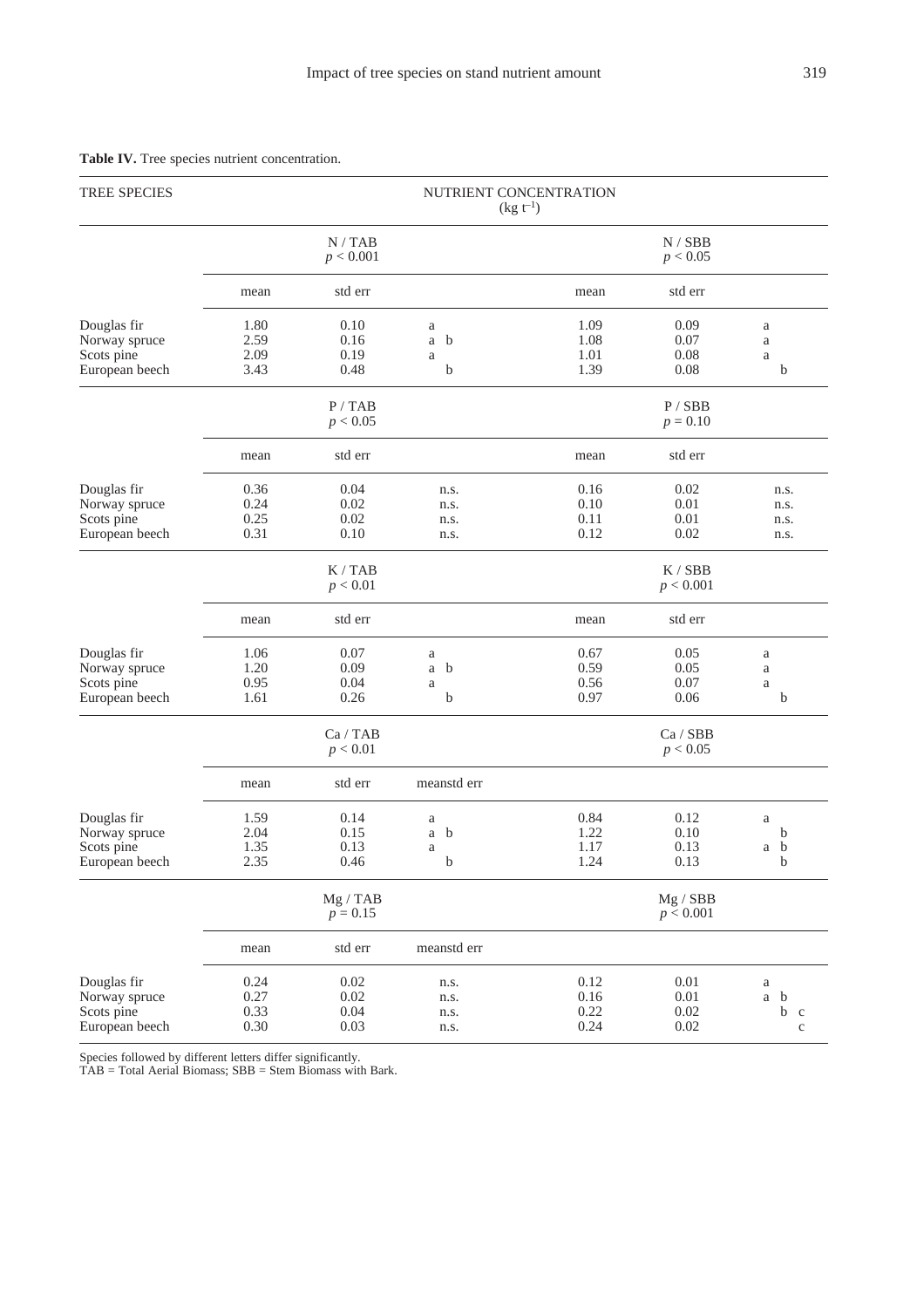| <b>TREE SPECIES</b>                                          | NUTRIENT CONCENTRATION<br>$(kg t^{-1})$ |                              |                                                   |                              |                                  |                                        |  |  |  |  |  |
|--------------------------------------------------------------|-----------------------------------------|------------------------------|---------------------------------------------------|------------------------------|----------------------------------|----------------------------------------|--|--|--|--|--|
|                                                              |                                         | N/TAB<br>p < 0.001           |                                                   |                              | N / SBB<br>p < 0.05              |                                        |  |  |  |  |  |
|                                                              | mean                                    | std err                      |                                                   | mean                         | std err                          |                                        |  |  |  |  |  |
| Douglas fir<br>Norway spruce<br>Scots pine<br>European beech | 1.80<br>2.59<br>2.09<br>3.43            | 0.10<br>0.16<br>0.19<br>0.48 | a<br>$\mathbf b$<br>a<br>$\rm{a}$<br>b            | 1.09<br>1.08<br>1.01<br>1.39 | 0.09<br>0.07<br>0.08<br>0.08     | $\rm{a}$<br>$\rm{a}$<br>$\rm{a}$<br>b  |  |  |  |  |  |
|                                                              |                                         | P/TAB<br>p < 0.05            |                                                   |                              | P / SBB<br>$p = 0.10$            |                                        |  |  |  |  |  |
|                                                              | mean                                    | std err                      |                                                   | mean                         | std err                          |                                        |  |  |  |  |  |
| Douglas fir<br>Norway spruce<br>Scots pine<br>European beech | 0.36<br>0.24<br>0.25<br>0.31            | 0.04<br>0.02<br>0.02<br>0.10 | n.s.<br>n.s.<br>n.s.<br>n.s.                      | 0.16<br>0.10<br>0.11<br>0.12 | 0.02<br>0.01<br>0.01<br>0.02     | n.s.<br>n.s.<br>n.s.<br>n.s.           |  |  |  |  |  |
|                                                              |                                         | K / TAB<br>p < 0.01          |                                                   |                              | K / SBB<br>p < 0.001             |                                        |  |  |  |  |  |
|                                                              | mean                                    | std err                      |                                                   | mean                         | std err                          |                                        |  |  |  |  |  |
| Douglas fir<br>Norway spruce<br>Scots pine<br>European beech | 1.06<br>1.20<br>0.95<br>1.61            | 0.07<br>0.09<br>0.04<br>0.26 | $\rm{a}$<br>$\mathbf b$<br>$\mathbf{a}$<br>a<br>b | 0.67<br>0.59<br>0.56<br>0.97 | 0.05<br>0.05<br>0.07<br>0.06     | $\rm{a}$<br>$\rm{a}$<br>$\rm{a}$<br>b  |  |  |  |  |  |
|                                                              |                                         | Ca / TAB<br>p < 0.01         |                                                   |                              | Ca / SBB<br>p < 0.05             |                                        |  |  |  |  |  |
|                                                              | mean                                    | std err                      | meanstd err                                       |                              |                                  |                                        |  |  |  |  |  |
| Douglas fir<br>Norway spruce<br>Scots pine<br>European beech | 1.59<br>2.04<br>1.35<br>2.35            | 0.14<br>0.15<br>0.13<br>0.46 | a<br>a<br>b<br>a<br>b                             | 0.84<br>1.22<br>1.17<br>1.24 | 0.12<br>0.10<br>0.13<br>0.13     | $\rm{a}$<br>b<br>a b<br>b              |  |  |  |  |  |
|                                                              |                                         | Mg / TAB<br>$p = 0.15$       |                                                   |                              | Mg / SBB<br>p < 0.001            |                                        |  |  |  |  |  |
|                                                              | mean                                    | std err                      | meanstd err                                       |                              |                                  |                                        |  |  |  |  |  |
| Douglas fir<br>Norway spruce<br>Scots pine<br>European beech | 0.24<br>0.27<br>0.33<br>0.30            | 0.02<br>0.02<br>0.04<br>0.03 | n.s.<br>n.s.<br>n.s.<br>n.s.                      | 0.12<br>0.16<br>0.22<br>0.24 | 0.01<br>$0.01\,$<br>0.02<br>0.02 | $\rm{a}$<br>a b<br>b c<br>$\mathbf{C}$ |  |  |  |  |  |

## **Table IV.** Tree species nutrient concentration.

Species followed by different letters differ significantly.

TAB = Total Aerial Biomass; SBB = Stem Biomass with Bark.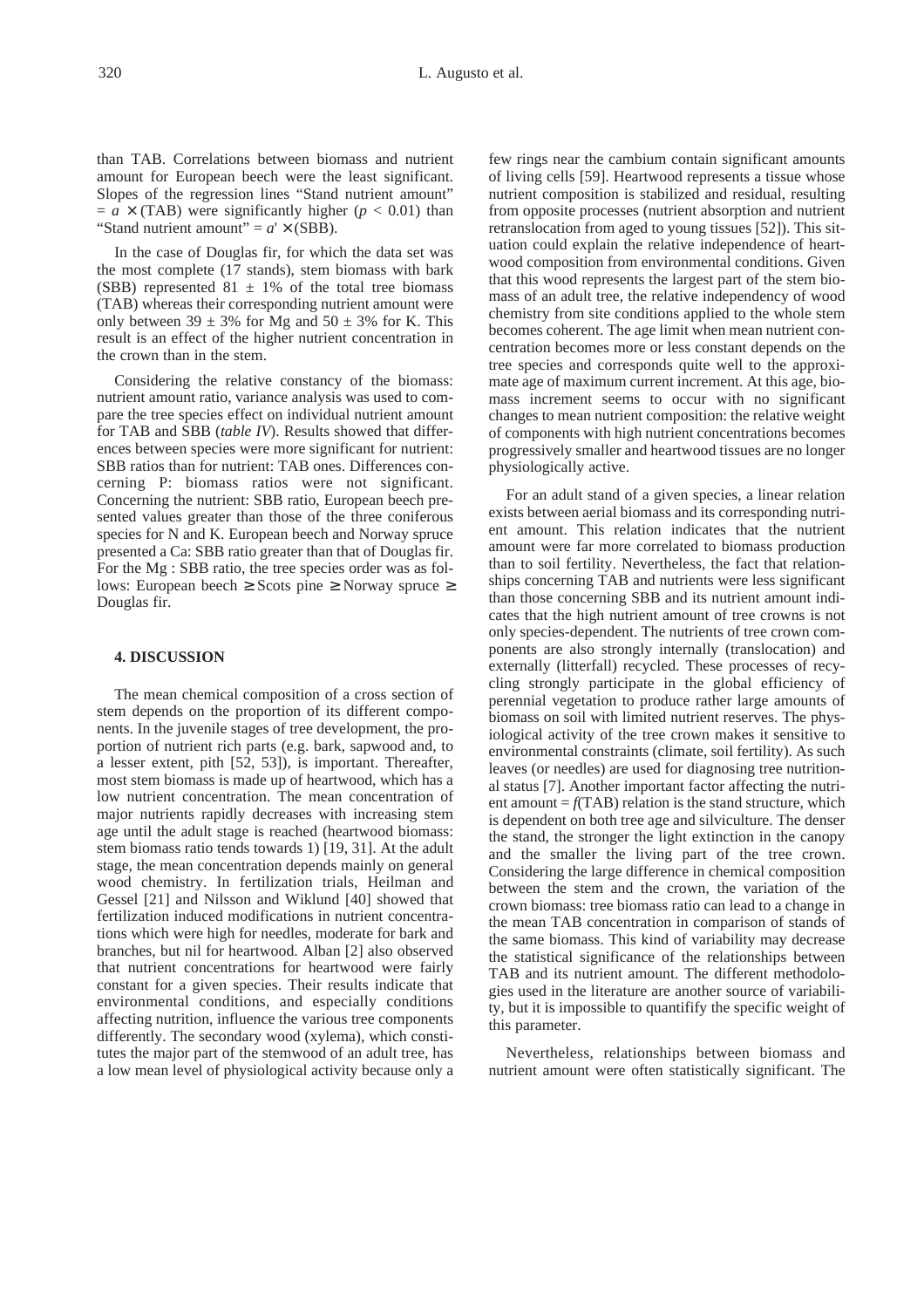than TAB. Correlations between biomass and nutrient amount for European beech were the least significant. Slopes of the regression lines "Stand nutrient amount"  $= a \times (TAB)$  were significantly higher ( $p < 0.01$ ) than "Stand nutrient amount" =  $a' \times (SBB)$ .

In the case of Douglas fir, for which the data set was the most complete (17 stands), stem biomass with bark (SBB) represented  $81 \pm 1\%$  of the total tree biomass (TAB) whereas their corresponding nutrient amount were only between  $39 \pm 3\%$  for Mg and  $50 \pm 3\%$  for K. This result is an effect of the higher nutrient concentration in the crown than in the stem.

Considering the relative constancy of the biomass: nutrient amount ratio, variance analysis was used to compare the tree species effect on individual nutrient amount for TAB and SBB (*table IV*). Results showed that differences between species were more significant for nutrient: SBB ratios than for nutrient: TAB ones. Differences concerning P: biomass ratios were not significant. Concerning the nutrient: SBB ratio, European beech presented values greater than those of the three coniferous species for N and K. European beech and Norway spruce presented a Ca: SBB ratio greater than that of Douglas fir. For the Mg : SBB ratio, the tree species order was as follows: European beech ≥ Scots pine ≥ Norway spruce ≥ Douglas fir.

#### **4. DISCUSSION**

The mean chemical composition of a cross section of stem depends on the proportion of its different components. In the juvenile stages of tree development, the proportion of nutrient rich parts (e.g. bark, sapwood and, to a lesser extent, pith [52, 53]), is important. Thereafter, most stem biomass is made up of heartwood, which has a low nutrient concentration. The mean concentration of major nutrients rapidly decreases with increasing stem age until the adult stage is reached (heartwood biomass: stem biomass ratio tends towards 1) [19, 31]. At the adult stage, the mean concentration depends mainly on general wood chemistry. In fertilization trials, Heilman and Gessel [21] and Nilsson and Wiklund [40] showed that fertilization induced modifications in nutrient concentrations which were high for needles, moderate for bark and branches, but nil for heartwood. Alban [2] also observed that nutrient concentrations for heartwood were fairly constant for a given species. Their results indicate that environmental conditions, and especially conditions affecting nutrition, influence the various tree components differently. The secondary wood (xylema), which constitutes the major part of the stemwood of an adult tree, has a low mean level of physiological activity because only a few rings near the cambium contain significant amounts of living cells [59]. Heartwood represents a tissue whose nutrient composition is stabilized and residual, resulting from opposite processes (nutrient absorption and nutrient retranslocation from aged to young tissues [52]). This situation could explain the relative independence of heartwood composition from environmental conditions. Given that this wood represents the largest part of the stem biomass of an adult tree, the relative independency of wood chemistry from site conditions applied to the whole stem becomes coherent. The age limit when mean nutrient concentration becomes more or less constant depends on the tree species and corresponds quite well to the approximate age of maximum current increment. At this age, biomass increment seems to occur with no significant changes to mean nutrient composition: the relative weight of components with high nutrient concentrations becomes progressively smaller and heartwood tissues are no longer physiologically active.

For an adult stand of a given species, a linear relation exists between aerial biomass and its corresponding nutrient amount. This relation indicates that the nutrient amount were far more correlated to biomass production than to soil fertility. Nevertheless, the fact that relationships concerning TAB and nutrients were less significant than those concerning SBB and its nutrient amount indicates that the high nutrient amount of tree crowns is not only species-dependent. The nutrients of tree crown components are also strongly internally (translocation) and externally (litterfall) recycled. These processes of recycling strongly participate in the global efficiency of perennial vegetation to produce rather large amounts of biomass on soil with limited nutrient reserves. The physiological activity of the tree crown makes it sensitive to environmental constraints (climate, soil fertility). As such leaves (or needles) are used for diagnosing tree nutritional status [7]. Another important factor affecting the nutrient amount  $=f(TAB)$  relation is the stand structure, which is dependent on both tree age and silviculture. The denser the stand, the stronger the light extinction in the canopy and the smaller the living part of the tree crown. Considering the large difference in chemical composition between the stem and the crown, the variation of the crown biomass: tree biomass ratio can lead to a change in the mean TAB concentration in comparison of stands of the same biomass. This kind of variability may decrease the statistical significance of the relationships between TAB and its nutrient amount. The different methodologies used in the literature are another source of variability, but it is impossible to quantifify the specific weight of this parameter.

Nevertheless, relationships between biomass and nutrient amount were often statistically significant. The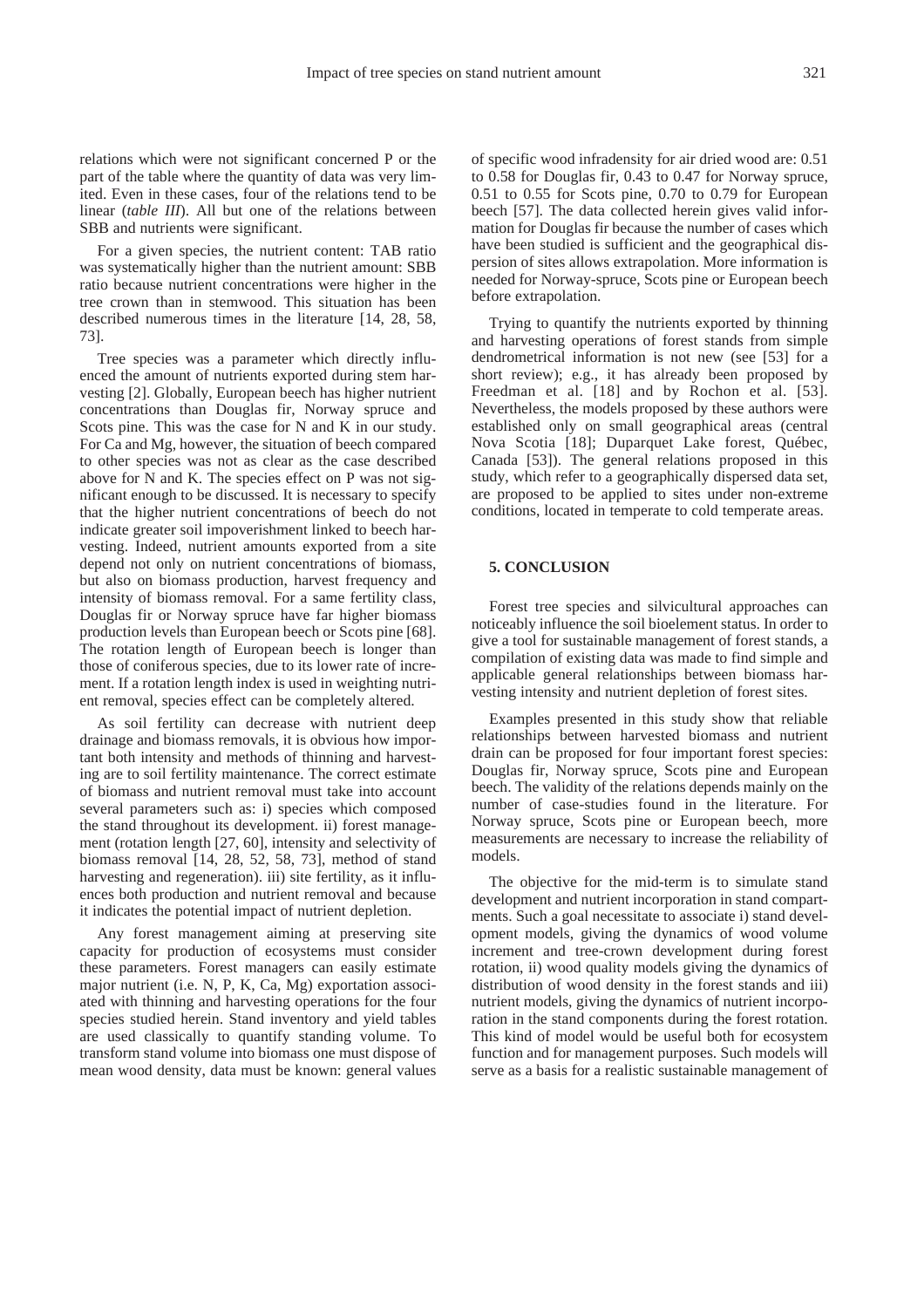relations which were not significant concerned P or the part of the table where the quantity of data was very limited. Even in these cases, four of the relations tend to be linear (*table III*). All but one of the relations between SBB and nutrients were significant.

For a given species, the nutrient content: TAB ratio was systematically higher than the nutrient amount: SBB ratio because nutrient concentrations were higher in the tree crown than in stemwood. This situation has been described numerous times in the literature [14, 28, 58, 73].

Tree species was a parameter which directly influenced the amount of nutrients exported during stem harvesting [2]. Globally, European beech has higher nutrient concentrations than Douglas fir, Norway spruce and Scots pine. This was the case for N and K in our study. For Ca and Mg, however, the situation of beech compared to other species was not as clear as the case described above for N and K. The species effect on P was not significant enough to be discussed. It is necessary to specify that the higher nutrient concentrations of beech do not indicate greater soil impoverishment linked to beech harvesting. Indeed, nutrient amounts exported from a site depend not only on nutrient concentrations of biomass, but also on biomass production, harvest frequency and intensity of biomass removal. For a same fertility class, Douglas fir or Norway spruce have far higher biomass production levels than European beech or Scots pine [68]. The rotation length of European beech is longer than those of coniferous species, due to its lower rate of increment. If a rotation length index is used in weighting nutrient removal, species effect can be completely altered.

As soil fertility can decrease with nutrient deep drainage and biomass removals, it is obvious how important both intensity and methods of thinning and harvesting are to soil fertility maintenance. The correct estimate of biomass and nutrient removal must take into account several parameters such as: i) species which composed the stand throughout its development. ii) forest management (rotation length [27, 60], intensity and selectivity of biomass removal [14, 28, 52, 58, 73], method of stand harvesting and regeneration). iii) site fertility, as it influences both production and nutrient removal and because it indicates the potential impact of nutrient depletion.

Any forest management aiming at preserving site capacity for production of ecosystems must consider these parameters. Forest managers can easily estimate major nutrient (i.e. N, P, K, Ca, Mg) exportation associated with thinning and harvesting operations for the four species studied herein. Stand inventory and yield tables are used classically to quantify standing volume. To transform stand volume into biomass one must dispose of mean wood density, data must be known: general values of specific wood infradensity for air dried wood are: 0.51 to 0.58 for Douglas fir, 0.43 to 0.47 for Norway spruce, 0.51 to 0.55 for Scots pine, 0.70 to 0.79 for European beech [57]. The data collected herein gives valid information for Douglas fir because the number of cases which have been studied is sufficient and the geographical dispersion of sites allows extrapolation. More information is needed for Norway-spruce, Scots pine or European beech before extrapolation.

Trying to quantify the nutrients exported by thinning and harvesting operations of forest stands from simple dendrometrical information is not new (see [53] for a short review); e.g., it has already been proposed by Freedman et al. [18] and by Rochon et al. [53]. Nevertheless, the models proposed by these authors were established only on small geographical areas (central Nova Scotia [18]; Duparquet Lake forest, Québec, Canada [53]). The general relations proposed in this study, which refer to a geographically dispersed data set, are proposed to be applied to sites under non-extreme conditions, located in temperate to cold temperate areas.

### **5. CONCLUSION**

Forest tree species and silvicultural approaches can noticeably influence the soil bioelement status. In order to give a tool for sustainable management of forest stands, a compilation of existing data was made to find simple and applicable general relationships between biomass harvesting intensity and nutrient depletion of forest sites.

Examples presented in this study show that reliable relationships between harvested biomass and nutrient drain can be proposed for four important forest species: Douglas fir, Norway spruce, Scots pine and European beech. The validity of the relations depends mainly on the number of case-studies found in the literature. For Norway spruce, Scots pine or European beech, more measurements are necessary to increase the reliability of models.

The objective for the mid-term is to simulate stand development and nutrient incorporation in stand compartments. Such a goal necessitate to associate i) stand development models, giving the dynamics of wood volume increment and tree-crown development during forest rotation, ii) wood quality models giving the dynamics of distribution of wood density in the forest stands and iii) nutrient models, giving the dynamics of nutrient incorporation in the stand components during the forest rotation. This kind of model would be useful both for ecosystem function and for management purposes. Such models will serve as a basis for a realistic sustainable management of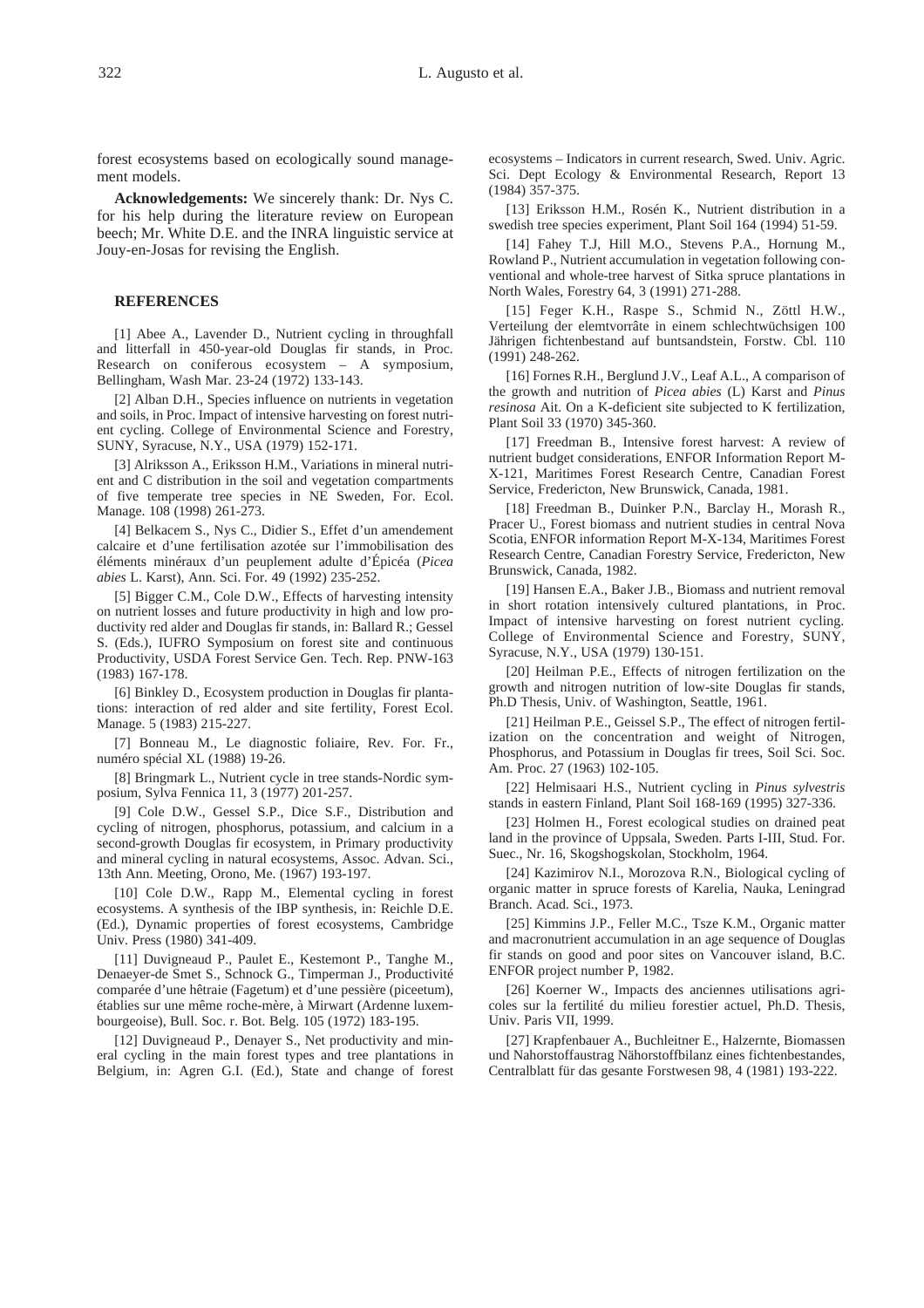forest ecosystems based on ecologically sound management models.

**Acknowledgements:** We sincerely thank: Dr. Nys C. for his help during the literature review on European beech; Mr. White D.E. and the INRA linguistic service at Jouy-en-Josas for revising the English.

#### **REFERENCES**

[1] Abee A., Lavender D., Nutrient cycling in throughfall and litterfall in 450-year-old Douglas fir stands, in Proc. Research on coniferous ecosystem – A symposium, Bellingham, Wash Mar. 23-24 (1972) 133-143.

[2] Alban D.H., Species influence on nutrients in vegetation and soils, in Proc. Impact of intensive harvesting on forest nutrient cycling. College of Environmental Science and Forestry, SUNY, Syracuse, N.Y., USA (1979) 152-171.

[3] Alriksson A., Eriksson H.M., Variations in mineral nutrient and C distribution in the soil and vegetation compartments of five temperate tree species in NE Sweden, For. Ecol. Manage. 108 (1998) 261-273.

[4] Belkacem S., Nys C., Didier S., Effet d'un amendement calcaire et d'une fertilisation azotée sur l'immobilisation des éléments minéraux d'un peuplement adulte d'Épicéa (*Picea abies* L. Karst), Ann. Sci. For. 49 (1992) 235-252.

[5] Bigger C.M., Cole D.W., Effects of harvesting intensity on nutrient losses and future productivity in high and low productivity red alder and Douglas fir stands, in: Ballard R.; Gessel S. (Eds.), IUFRO Symposium on forest site and continuous Productivity, USDA Forest Service Gen. Tech. Rep. PNW-163 (1983) 167-178.

[6] Binkley D., Ecosystem production in Douglas fir plantations: interaction of red alder and site fertility, Forest Ecol. Manage. 5 (1983) 215-227.

[7] Bonneau M., Le diagnostic foliaire, Rev. For. Fr., numéro spécial XL (1988) 19-26.

[8] Bringmark L., Nutrient cycle in tree stands-Nordic symposium, Sylva Fennica 11, 3 (1977) 201-257.

[9] Cole D.W., Gessel S.P., Dice S.F., Distribution and cycling of nitrogen, phosphorus, potassium, and calcium in a second-growth Douglas fir ecosystem, in Primary productivity and mineral cycling in natural ecosystems, Assoc. Advan. Sci., 13th Ann. Meeting, Orono, Me. (1967) 193-197.

[10] Cole D.W., Rapp M., Elemental cycling in forest ecosystems. A synthesis of the IBP synthesis, in: Reichle D.E. (Ed.), Dynamic properties of forest ecosystems, Cambridge Univ. Press (1980) 341-409.

[11] Duvigneaud P., Paulet E., Kestemont P., Tanghe M., Denaeyer-de Smet S., Schnock G., Timperman J., Productivité comparée d'une hêtraie (Fagetum) et d'une pessière (piceetum), établies sur une même roche-mère, à Mirwart (Ardenne luxembourgeoise), Bull. Soc. r. Bot. Belg. 105 (1972) 183-195.

[12] Duvigneaud P., Denayer S., Net productivity and mineral cycling in the main forest types and tree plantations in Belgium, in: Agren G.I. (Ed.), State and change of forest ecosystems – Indicators in current research, Swed. Univ. Agric. Sci. Dept Ecology & Environmental Research, Report 13 (1984) 357-375.

[13] Eriksson H.M., Rosén K., Nutrient distribution in a swedish tree species experiment, Plant Soil 164 (1994) 51-59.

[14] Fahey T.J, Hill M.O., Stevens P.A., Hornung M., Rowland P., Nutrient accumulation in vegetation following conventional and whole-tree harvest of Sitka spruce plantations in North Wales, Forestry 64, 3 (1991) 271-288.

[15] Feger K.H., Raspe S., Schmid N., Zöttl H.W., Verteilung der elemtvorrâte in einem schlechtwüchsigen 100 Jährigen fichtenbestand auf buntsandstein, Forstw. Cbl. 110 (1991) 248-262.

[16] Fornes R.H., Berglund J.V., Leaf A.L., A comparison of the growth and nutrition of *Picea abies* (L) Karst and *Pinus resinosa* Ait. On a K-deficient site subjected to K fertilization, Plant Soil 33 (1970) 345-360.

[17] Freedman B., Intensive forest harvest: A review of nutrient budget considerations, ENFOR Information Report M-X-121, Maritimes Forest Research Centre, Canadian Forest Service, Fredericton, New Brunswick, Canada, 1981.

[18] Freedman B., Duinker P.N., Barclay H., Morash R., Pracer U., Forest biomass and nutrient studies in central Nova Scotia, ENFOR information Report M-X-134, Maritimes Forest Research Centre, Canadian Forestry Service, Fredericton, New Brunswick, Canada, 1982.

[19] Hansen E.A., Baker J.B., Biomass and nutrient removal in short rotation intensively cultured plantations, in Proc. Impact of intensive harvesting on forest nutrient cycling. College of Environmental Science and Forestry, SUNY, Syracuse, N.Y., USA (1979) 130-151.

[20] Heilman P.E., Effects of nitrogen fertilization on the growth and nitrogen nutrition of low-site Douglas fir stands, Ph.D Thesis, Univ. of Washington, Seattle, 1961.

[21] Heilman P.E., Geissel S.P., The effect of nitrogen fertilization on the concentration and weight of Nitrogen, Phosphorus, and Potassium in Douglas fir trees, Soil Sci. Soc. Am. Proc. 27 (1963) 102-105.

[22] Helmisaari H.S., Nutrient cycling in *Pinus sylvestris* stands in eastern Finland, Plant Soil 168-169 (1995) 327-336.

[23] Holmen H., Forest ecological studies on drained peat land in the province of Uppsala, Sweden. Parts I-III, Stud. For. Suec., Nr. 16, Skogshogskolan, Stockholm, 1964.

[24] Kazimirov N.I., Morozova R.N., Biological cycling of organic matter in spruce forests of Karelia, Nauka, Leningrad Branch. Acad. Sci., 1973.

[25] Kimmins J.P., Feller M.C., Tsze K.M., Organic matter and macronutrient accumulation in an age sequence of Douglas fir stands on good and poor sites on Vancouver island, B.C. ENFOR project number P, 1982.

[26] Koerner W., Impacts des anciennes utilisations agricoles sur la fertilité du milieu forestier actuel, Ph.D. Thesis, Univ. Paris VII, 1999.

[27] Krapfenbauer A., Buchleitner E., Halzernte, Biomassen und Nahorstoffaustrag Nähorstoffbilanz eines fichtenbestandes, Centralblatt für das gesante Forstwesen 98, 4 (1981) 193-222.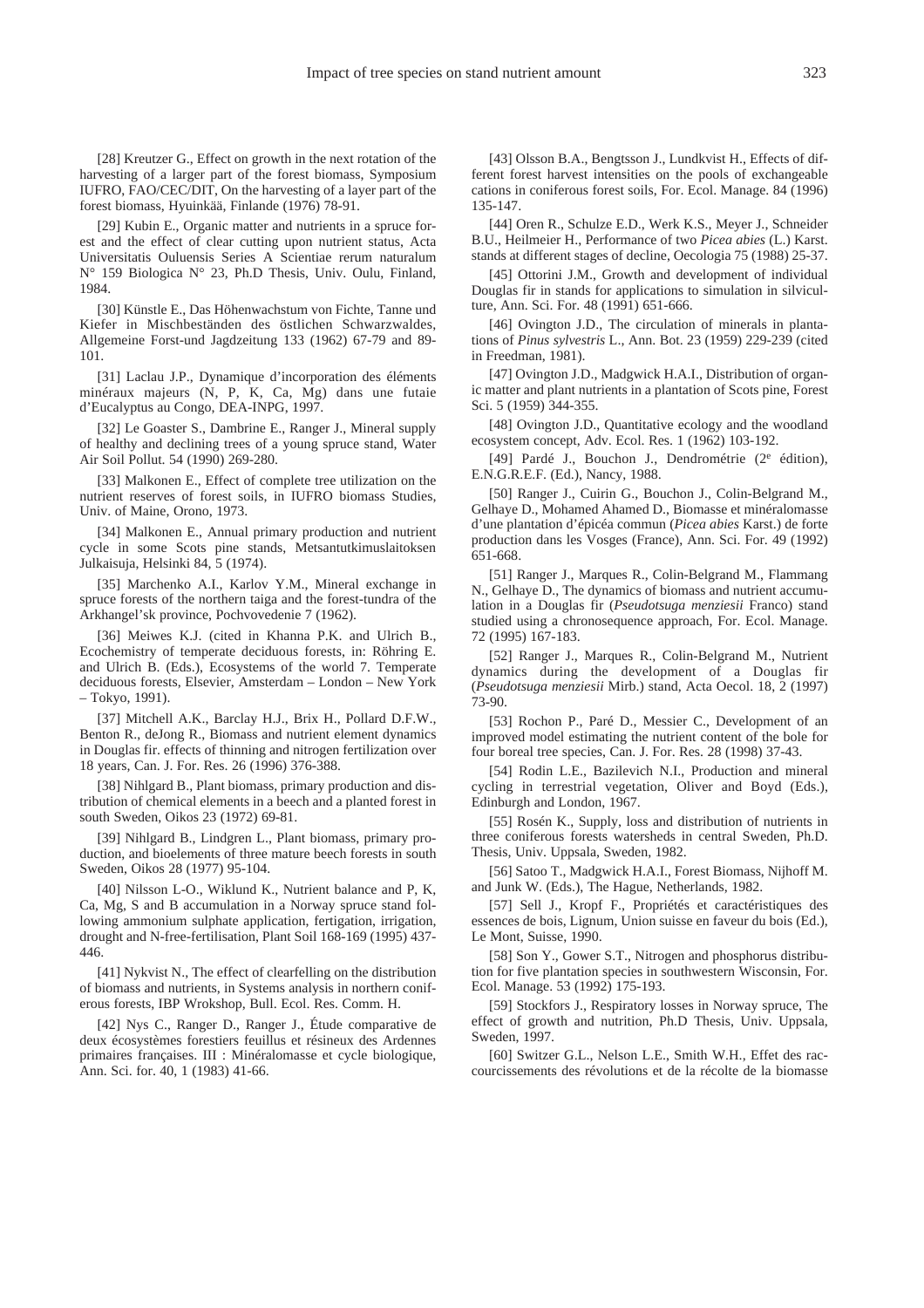[28] Kreutzer G., Effect on growth in the next rotation of the harvesting of a larger part of the forest biomass, Symposium IUFRO, FAO/CEC/DIT, On the harvesting of a layer part of the forest biomass, Hyuinkää, Finlande (1976) 78-91.

[29] Kubin E., Organic matter and nutrients in a spruce forest and the effect of clear cutting upon nutrient status, Acta Universitatis Ouluensis Series A Scientiae rerum naturalum N° 159 Biologica N° 23, Ph.D Thesis, Univ. Oulu, Finland, 1984.

[30] Künstle E., Das Höhenwachstum von Fichte, Tanne und Kiefer in Mischbeständen des östlichen Schwarzwaldes, Allgemeine Forst-und Jagdzeitung 133 (1962) 67-79 and 89- 101.

[31] Laclau J.P., Dynamique d'incorporation des éléments minéraux majeurs (N, P, K, Ca, Mg) dans une futaie d'Eucalyptus au Congo, DEA-INPG, 1997.

[32] Le Goaster S., Dambrine E., Ranger J., Mineral supply of healthy and declining trees of a young spruce stand, Water Air Soil Pollut. 54 (1990) 269-280.

[33] Malkonen E., Effect of complete tree utilization on the nutrient reserves of forest soils, in IUFRO biomass Studies, Univ. of Maine, Orono, 1973.

[34] Malkonen E., Annual primary production and nutrient cycle in some Scots pine stands, Metsantutkimuslaitoksen Julkaisuja, Helsinki 84, 5 (1974).

[35] Marchenko A.I., Karlov Y.M., Mineral exchange in spruce forests of the northern taiga and the forest-tundra of the Arkhangel'sk province, Pochvovedenie 7 (1962).

[36] Meiwes K.J. (cited in Khanna P.K. and Ulrich B., Ecochemistry of temperate deciduous forests, in: Röhring E. and Ulrich B. (Eds.), Ecosystems of the world 7. Temperate deciduous forests, Elsevier, Amsterdam – London – New York – Tokyo, 1991).

[37] Mitchell A.K., Barclay H.J., Brix H., Pollard D.F.W., Benton R., deJong R., Biomass and nutrient element dynamics in Douglas fir. effects of thinning and nitrogen fertilization over 18 years, Can. J. For. Res. 26 (1996) 376-388.

[38] Nihlgard B., Plant biomass, primary production and distribution of chemical elements in a beech and a planted forest in south Sweden, Oikos 23 (1972) 69-81.

[39] Nihlgard B., Lindgren L., Plant biomass, primary production, and bioelements of three mature beech forests in south Sweden, Oikos 28 (1977) 95-104.

[40] Nilsson L-O., Wiklund K., Nutrient balance and P, K, Ca, Mg, S and B accumulation in a Norway spruce stand following ammonium sulphate application, fertigation, irrigation, drought and N-free-fertilisation, Plant Soil 168-169 (1995) 437- 446.

[41] Nykvist N., The effect of clearfelling on the distribution of biomass and nutrients, in Systems analysis in northern coniferous forests, IBP Wrokshop, Bull. Ecol. Res. Comm. H.

[42] Nys C., Ranger D., Ranger J., Étude comparative de deux écosystèmes forestiers feuillus et résineux des Ardennes primaires françaises. III : Minéralomasse et cycle biologique, Ann. Sci. for. 40, 1 (1983) 41-66.

[43] Olsson B.A., Bengtsson J., Lundkvist H., Effects of different forest harvest intensities on the pools of exchangeable cations in coniferous forest soils, For. Ecol. Manage. 84 (1996) 135-147.

[44] Oren R., Schulze E.D., Werk K.S., Meyer J., Schneider B.U., Heilmeier H., Performance of two *Picea abies* (L.) Karst. stands at different stages of decline, Oecologia 75 (1988) 25-37.

[45] Ottorini J.M., Growth and development of individual Douglas fir in stands for applications to simulation in silviculture, Ann. Sci. For. 48 (1991) 651-666.

[46] Ovington J.D., The circulation of minerals in plantations of *Pinus sylvestris* L., Ann. Bot. 23 (1959) 229-239 (cited in Freedman, 1981).

[47] Ovington J.D., Madgwick H.A.I., Distribution of organic matter and plant nutrients in a plantation of Scots pine, Forest Sci. 5 (1959) 344-355.

[48] Ovington J.D., Quantitative ecology and the woodland ecosystem concept, Adv. Ecol. Res. 1 (1962) 103-192.

[49] Pardé J., Bouchon J., Dendrométrie (2<sup>e</sup> édition), E.N.G.R.E.F. (Ed.), Nancy, 1988.

[50] Ranger J., Cuirin G., Bouchon J., Colin-Belgrand M., Gelhaye D., Mohamed Ahamed D., Biomasse et minéralomasse d'une plantation d'épicéa commun (*Picea abies* Karst.) de forte production dans les Vosges (France), Ann. Sci. For. 49 (1992) 651-668.

[51] Ranger J., Marques R., Colin-Belgrand M., Flammang N., Gelhaye D., The dynamics of biomass and nutrient accumulation in a Douglas fir (*Pseudotsuga menziesii* Franco) stand studied using a chronosequence approach, For. Ecol. Manage. 72 (1995) 167-183.

[52] Ranger J., Marques R., Colin-Belgrand M., Nutrient dynamics during the development of a Douglas fir (*Pseudotsuga menziesii* Mirb.) stand, Acta Oecol. 18, 2 (1997) 73-90.

[53] Rochon P., Paré D., Messier C., Development of an improved model estimating the nutrient content of the bole for four boreal tree species, Can. J. For. Res. 28 (1998) 37-43.

[54] Rodin L.E., Bazilevich N.I., Production and mineral cycling in terrestrial vegetation, Oliver and Boyd (Eds.), Edinburgh and London, 1967.

[55] Rosén K., Supply, loss and distribution of nutrients in three coniferous forests watersheds in central Sweden, Ph.D. Thesis, Univ. Uppsala, Sweden, 1982.

[56] Satoo T., Madgwick H.A.I., Forest Biomass, Nijhoff M. and Junk W. (Eds.), The Hague, Netherlands, 1982.

[57] Sell J., Kropf F., Propriétés et caractéristiques des essences de bois, Lignum, Union suisse en faveur du bois (Ed.), Le Mont, Suisse, 1990.

[58] Son Y., Gower S.T., Nitrogen and phosphorus distribution for five plantation species in southwestern Wisconsin, For. Ecol. Manage. 53 (1992) 175-193.

[59] Stockfors J., Respiratory losses in Norway spruce, The effect of growth and nutrition, Ph.D Thesis, Univ. Uppsala, Sweden, 1997.

[60] Switzer G.L., Nelson L.E., Smith W.H., Effet des raccourcissements des révolutions et de la récolte de la biomasse